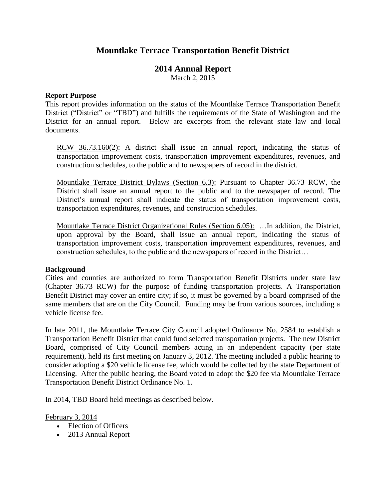# **Mountlake Terrace Transportation Benefit District**

# **2014 Annual Report**

March 2, 2015

#### **Report Purpose**

This report provides information on the status of the Mountlake Terrace Transportation Benefit District ("District" or "TBD") and fulfills the requirements of the State of Washington and the District for an annual report. Below are excerpts from the relevant state law and local documents.

RCW 36.73.160(2): A district shall issue an annual report, indicating the status of transportation improvement costs, transportation improvement expenditures, revenues, and construction schedules, to the public and to newspapers of record in the district.

Mountlake Terrace District Bylaws (Section 6.3): Pursuant to Chapter 36.73 RCW, the District shall issue an annual report to the public and to the newspaper of record. The District's annual report shall indicate the status of transportation improvement costs, transportation expenditures, revenues, and construction schedules.

Mountlake Terrace District Organizational Rules (Section 6.05): …In addition, the District, upon approval by the Board, shall issue an annual report, indicating the status of transportation improvement costs, transportation improvement expenditures, revenues, and construction schedules, to the public and the newspapers of record in the District…

#### **Background**

Cities and counties are authorized to form Transportation Benefit Districts under state law (Chapter 36.73 RCW) for the purpose of funding transportation projects. A Transportation Benefit District may cover an entire city; if so, it must be governed by a board comprised of the same members that are on the City Council. Funding may be from various sources, including a vehicle license fee.

In late 2011, the Mountlake Terrace City Council adopted Ordinance No. 2584 to establish a Transportation Benefit District that could fund selected transportation projects. The new District Board, comprised of City Council members acting in an independent capacity (per state requirement), held its first meeting on January 3, 2012. The meeting included a public hearing to consider adopting a \$20 vehicle license fee, which would be collected by the state Department of Licensing. After the public hearing, the Board voted to adopt the \$20 fee via Mountlake Terrace Transportation Benefit District Ordinance No. 1.

In 2014, TBD Board held meetings as described below.

February 3, 2014

- Election of Officers
- 2013 Annual Report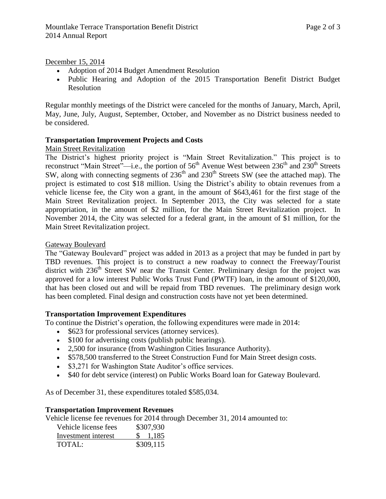December 15, 2014

- Adoption of 2014 Budget Amendment Resolution
- Public Hearing and Adoption of the 2015 Transportation Benefit District Budget Resolution

Regular monthly meetings of the District were canceled for the months of January, March, April, May, June, July, August, September, October, and November as no District business needed to be considered.

## **Transportation Improvement Projects and Costs**

### Main Street Revitalization

The District's highest priority project is "Main Street Revitalization." This project is to reconstruct "Main Street"—i.e., the portion of  $56<sup>th</sup>$  Avenue West between  $236<sup>th</sup>$  and  $230<sup>th</sup>$  Streets SW, along with connecting segments of  $236<sup>th</sup>$  and  $230<sup>th</sup>$  Streets SW (see the attached map). The project is estimated to cost \$18 million. Using the District's ability to obtain revenues from a vehicle license fee, the City won a grant, in the amount of \$643,461 for the first stage of the Main Street Revitalization project. In September 2013, the City was selected for a state appropriation, in the amount of \$2 million, for the Main Street Revitalization project. In November 2014, the City was selected for a federal grant, in the amount of \$1 million, for the Main Street Revitalization project.

### Gateway Boulevard

The "Gateway Boulevard" project was added in 2013 as a project that may be funded in part by TBD revenues. This project is to construct a new roadway to connect the Freeway/Tourist district with 236<sup>th</sup> Street SW near the Transit Center. Preliminary design for the project was approved for a low interest Public Works Trust Fund (PWTF) loan, in the amount of \$120,000, that has been closed out and will be repaid from TBD revenues. The preliminary design work has been completed. Final design and construction costs have not yet been determined.

### **Transportation Improvement Expenditures**

To continue the District's operation, the following expenditures were made in 2014:

- \$623 for professional services (attorney services).
- \$100 for advertising costs (publish public hearings).
- 2,500 for insurance (from Washington Cities Insurance Authority).
- \$578,500 transferred to the Street Construction Fund for Main Street design costs.
- \$3,271 for Washington State Auditor's office services.
- \$40 for debt service (interest) on Public Works Board loan for Gateway Boulevard.

As of December 31, these expenditures totaled \$585,034.

### **Transportation Improvement Revenues**

Vehicle license fee revenues for 2014 through December 31, 2014 amounted to:

| Vehicle license fees | \$307,930 |
|----------------------|-----------|
| Investment interest  | \$1,185   |
| TOTAL:               | \$309,115 |